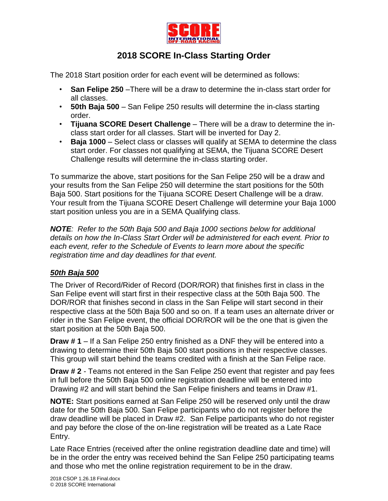

## **2018 SCORE In-Class Starting Order**

The 2018 Start position order for each event will be determined as follows:

- **San Felipe 250** –There will be a draw to determine the in-class start order for all classes.
- **50th Baja 500** San Felipe 250 results will determine the in-class starting order.
- **Tijuana SCORE Desert Challenge** There will be a draw to determine the inclass start order for all classes. Start will be inverted for Day 2.
- **Baja 1000** Select class or classes will qualify at SEMA to determine the class start order. For classes not qualifying at SEMA, the Tijuana SCORE Desert Challenge results will determine the in-class starting order.

To summarize the above, start positions for the San Felipe 250 will be a draw and your results from the San Felipe 250 will determine the start positions for the 50th Baja 500. Start positions for the Tijuana SCORE Desert Challenge will be a draw. Your result from the Tijuana SCORE Desert Challenge will determine your Baja 1000 start position unless you are in a SEMA Qualifying class.

*NOTE: Refer to the 50th Baja 500 and Baja 1000 sections below for additional details on how the In-Class Start Order will be administered for each event. Prior to each event, refer to the Schedule of Events to learn more about the specific registration time and day deadlines for that event.*

## *50th Baja 500*

The Driver of Record/Rider of Record (DOR/ROR) that finishes first in class in the San Felipe event will start first in their respective class at the 50th Baja 500. The DOR/ROR that finishes second in class in the San Felipe will start second in their respective class at the 50th Baja 500 and so on. If a team uses an alternate driver or rider in the San Felipe event, the official DOR/ROR will be the one that is given the start position at the 50th Baja 500.

**Draw # 1** – If a San Felipe 250 entry finished as a DNF they will be entered into a drawing to determine their 50th Baja 500 start positions in their respective classes. This group will start behind the teams credited with a finish at the San Felipe race.

**Draw # 2** - Teams not entered in the San Felipe 250 event that register and pay fees in full before the 50th Baja 500 online registration deadline will be entered into Drawing #2 and will start behind the San Felipe finishers and teams in Draw #1.

**NOTE:** Start positions earned at San Felipe 250 will be reserved only until the draw date for the 50th Baja 500. San Felipe participants who do not register before the draw deadline will be placed in Draw #2. San Felipe participants who do not register and pay before the close of the on-line registration will be treated as a Late Race Entry.

Late Race Entries (received after the online registration deadline date and time) will be in the order the entry was received behind the San Felipe 250 participating teams and those who met the online registration requirement to be in the draw.